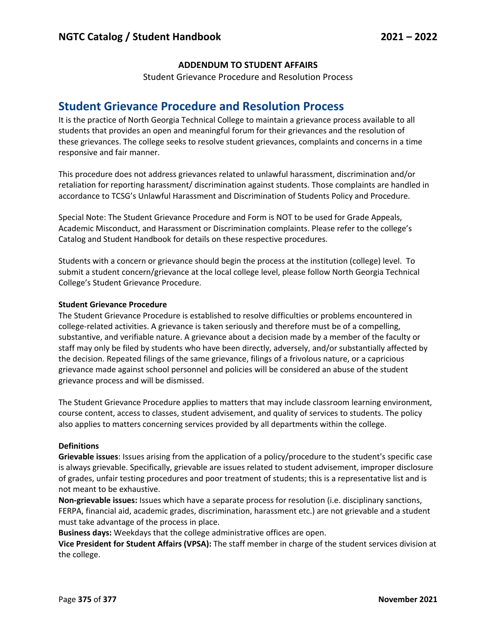### **ADDENDUM TO STUDENT AFFAIRS**

Student Grievance Procedure and Resolution Process

# **Student Grievance Procedure and Resolution Process**

It is the practice of North Georgia Technical College to maintain a grievance process available to all students that provides an open and meaningful forum for their grievances and the resolution of these grievances. The college seeks to resolve student grievances, complaints and concerns in a time responsive and fair manner.

This procedure does not address grievances related to unlawful harassment, discrimination and/or retaliation for reporting harassment/ discrimination against students. Those complaints are handled in accordance to TCSG's Unlawful Harassment and Discrimination of Students Policy and Procedure.

Special Note: The Student Grievance Procedure and Form is NOT to be used for Grade Appeals, Academic Misconduct, and Harassment or Discrimination complaints. Please refer to the college's Catalog and Student Handbook for details on these respective procedures.

Students with a concern or grievance should begin the process at the institution (college) level. To submit a student concern/grievance at the local college level, please follow North Georgia Technical College's Student Grievance Procedure.

### **Student Grievance Procedure**

The Student Grievance Procedure is established to resolve difficulties or problems encountered in college-related activities. A grievance is taken seriously and therefore must be of a compelling, substantive, and verifiable nature. A grievance about a decision made by a member of the faculty or staff may only be filed by students who have been directly, adversely, and/or substantially affected by the decision. Repeated filings of the same grievance, filings of a frivolous nature, or a capricious grievance made against school personnel and policies will be considered an abuse of the student grievance process and will be dismissed.

The Student Grievance Procedure applies to matters that may include classroom learning environment, course content, access to classes, student advisement, and quality of services to students. The policy also applies to matters concerning services provided by all departments within the college.

#### **Definitions**

**Grievable issues**: Issues arising from the application of a policy/procedure to the student's specific case is always grievable. Specifically, grievable are issues related to student advisement, improper disclosure of grades, unfair testing procedures and poor treatment of students; this is a representative list and is not meant to be exhaustive.

**Non-grievable issues:** Issues which have a separate process for resolution (i.e. disciplinary sanctions, FERPA, financial aid, academic grades, discrimination, harassment etc.) are not grievable and a student must take advantage of the process in place.

**Business days:** Weekdays that the college administrative offices are open.

**Vice President for Student Affairs (VPSA):** The staff member in charge of the student services division at the college.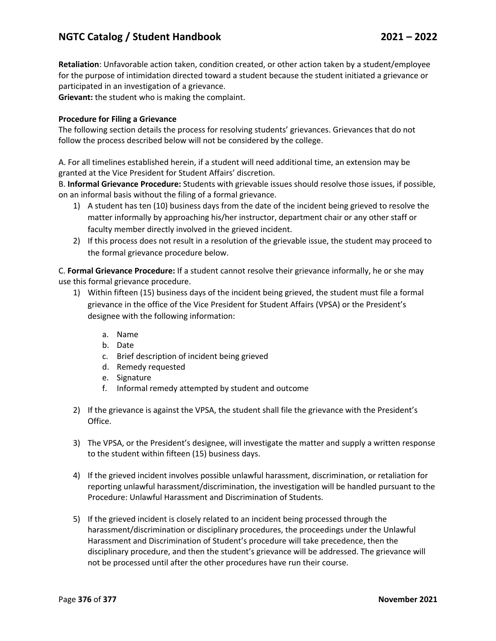## **NGTC Catalog / Student Handbook 2021 – 2022**

**Retaliation**: Unfavorable action taken, condition created, or other action taken by a student/employee for the purpose of intimidation directed toward a student because the student initiated a grievance or participated in an investigation of a grievance.

**Grievant:** the student who is making the complaint.

#### **Procedure for Filing a Grievance**

The following section details the process for resolving students' grievances. Grievances that do not follow the process described below will not be considered by the college.

A. For all timelines established herein, if a student will need additional time, an extension may be granted at the Vice President for Student Affairs' discretion.

B. **Informal Grievance Procedure:** Students with grievable issues should resolve those issues, if possible, on an informal basis without the filing of a formal grievance.

- 1) A student has ten (10) business days from the date of the incident being grieved to resolve the matter informally by approaching his/her instructor, department chair or any other staff or faculty member directly involved in the grieved incident.
- 2) If this process does not result in a resolution of the grievable issue, the student may proceed to the formal grievance procedure below.

C. **Formal Grievance Procedure:** If a student cannot resolve their grievance informally, he or she may use this formal grievance procedure.

- 1) Within fifteen (15) business days of the incident being grieved, the student must file a formal grievance in the office of the Vice President for Student Affairs (VPSA) or the President's designee with the following information:
	- a. Name
	- b. Date
	- c. Brief description of incident being grieved
	- d. Remedy requested
	- e. Signature
	- f. Informal remedy attempted by student and outcome
- 2) If the grievance is against the VPSA, the student shall file the grievance with the President's Office.
- 3) The VPSA, or the President's designee, will investigate the matter and supply a written response to the student within fifteen (15) business days.
- 4) If the grieved incident involves possible unlawful harassment, discrimination, or retaliation for reporting unlawful harassment/discrimination, the investigation will be handled pursuant to the Procedure: Unlawful Harassment and Discrimination of Students.
- 5) If the grieved incident is closely related to an incident being processed through the harassment/discrimination or disciplinary procedures, the proceedings under the Unlawful Harassment and Discrimination of Student's procedure will take precedence, then the disciplinary procedure, and then the student's grievance will be addressed. The grievance will not be processed until after the other procedures have run their course.